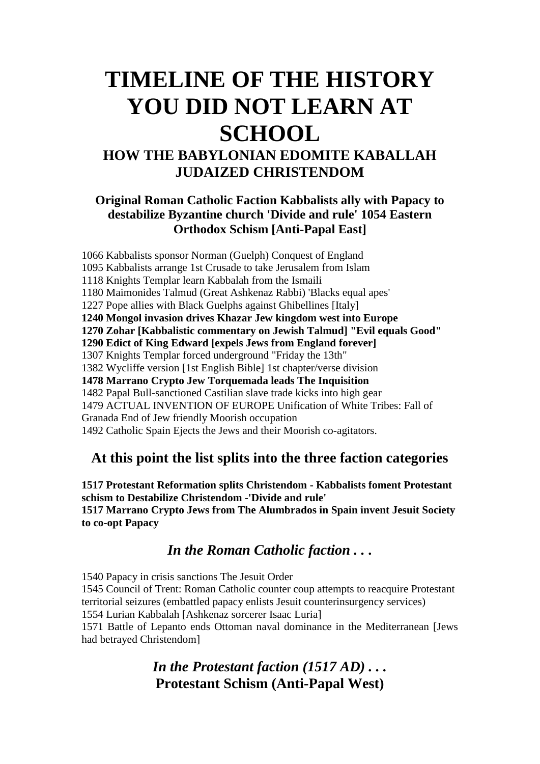## **TIMELINE OF THE HISTORY YOU DID NOT LEARN AT SCHOOL HOW THE BABYLONIAN EDOMITE KABALLAH**

# **JUDAIZED CHRISTENDOM**

#### **Original Roman Catholic Faction Kabbalists ally with Papacy to destabilize Byzantine church 'Divide and rule' 1054 Eastern Orthodox Schism [Anti-Papal East]**

1066 Kabbalists sponsor Norman (Guelph) Conquest of England 1095 Kabbalists arrange 1st Crusade to take Jerusalem from Islam 1118 Knights Templar learn Kabbalah from the Ismaili 1180 Maimonides Talmud (Great Ashkenaz Rabbi) 'Blacks equal apes' 1227 Pope allies with Black Guelphs against Ghibellines [Italy] **1240 Mongol invasion drives Khazar Jew kingdom west into Europe 1270 Zohar [Kabbalistic commentary on Jewish Talmud] "Evil equals Good" 1290 Edict of King Edward [expels Jews from England forever]** 1307 Knights Templar forced underground "Friday the 13th" 1382 Wycliffe version [1st English Bible] 1st chapter/verse division **1478 Marrano Crypto Jew Torquemada leads The Inquisition** 1482 Papal Bull-sanctioned Castilian slave trade kicks into high gear 1479 ACTUAL INVENTION OF EUROPE Unification of White Tribes: Fall of Granada End of Jew friendly Moorish occupation 1492 Catholic Spain Ejects the Jews and their Moorish co-agitators.

#### **At this point the list splits into the three faction categories**

**1517 Protestant Reformation splits Christendom - Kabbalists foment Protestant schism to Destabilize Christendom -'Divide and rule' 1517 Marrano Crypto Jews from The Alumbrados in Spain invent Jesuit Society to co-opt Papacy**

#### *In the Roman Catholic faction . . .*

1540 Papacy in crisis sanctions The Jesuit Order

1545 Council of Trent: Roman Catholic counter coup attempts to reacquire Protestant territorial seizures (embattled papacy enlists Jesuit counterinsurgency services) 1554 Lurian Kabbalah [Ashkenaz sorcerer Isaac Luria]

1571 Battle of Lepanto ends Ottoman naval dominance in the Mediterranean [Jews had betrayed Christendom]

#### *In the Protestant faction (1517 AD) . . .* **Protestant Schism (Anti-Papal West)**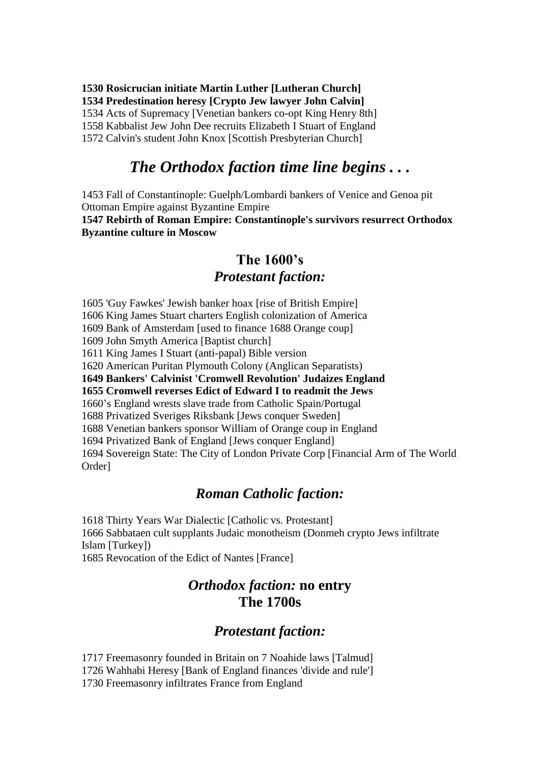**1530 Rosicrucian initiate Martin Luther [Lutheran Church] 1534 Predestination heresy [Crypto Jew lawyer John Calvin]** 1534 Acts of Supremacy [Venetian bankers co-opt King Henry 8th] 1558 Kabbalist Jew John Dee recruits Elizabeth I Stuart of England 1572 Calvin's student John Knox [Scottish Presbyterian Church]

#### *The Orthodox faction time line begins . . .*

1453 Fall of Constantinople: Guelph/Lombardi bankers of Venice and Genoa pit Ottoman Empire against Byzantine Empire

**1547 Rebirth of Roman Empire: Constantinople's survivors resurrect Orthodox Byzantine culture in Moscow**

#### **The 1600's** *Protestant faction:*

1605 'Guy Fawkes' Jewish banker hoax [rise of British Empire] 1606 King James Stuart charters English colonization of America 1609 Bank of Amsterdam [used to finance 1688 Orange coup] 1609 John Smyth America [Baptist church] 1611 King James I Stuart (anti-papal) Bible version 1620 American Puritan Plymouth Colony (Anglican Separatists) **1649 Bankers' Calvinist 'Cromwell Revolution' Judaizes England 1655 Cromwell reverses Edict of Edward I to readmit the Jews** 1660's England wrests slave trade from Catholic Spain/Portugal 1688 Privatized Sveriges Riksbank [Jews conquer Sweden] 1688 Venetian bankers sponsor William of Orange coup in England 1694 Privatized Bank of England [Jews conquer England] 1694 Sovereign State: The City of London Private Corp [Financial Arm of The World Order]

#### *Roman Catholic faction:*

1618 Thirty Years War Dialectic [Catholic vs. Protestant] 1666 Sabbataen cult supplants Judaic monotheism (Donmeh crypto Jews infiltrate Islam [Turkey])

1685 Revocation of the Edict of Nantes [France]

#### *Orthodox faction:* **no entry The 1700s**

#### *Protestant faction:*

1717 Freemasonry founded in Britain on 7 Noahide laws [Talmud]

1726 Wahhabi Heresy [Bank of England finances 'divide and rule']

1730 Freemasonry infiltrates France from England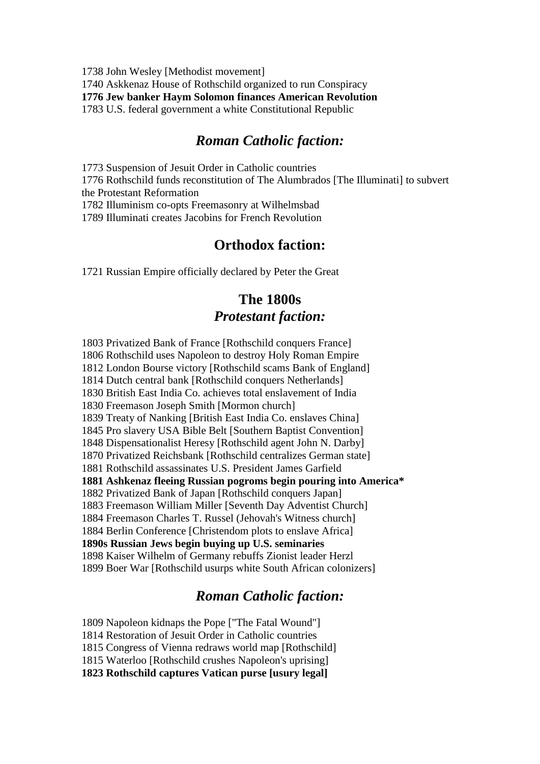1738 John Wesley [Methodist movement]

1740 Askkenaz House of Rothschild organized to run Conspiracy

**1776 Jew banker Haym Solomon finances American Revolution**

1783 U.S. federal government a white Constitutional Republic

#### *Roman Catholic faction:*

1773 Suspension of Jesuit Order in Catholic countries

1776 Rothschild funds reconstitution of The Alumbrados [The Illuminati] to subvert the Protestant Reformation

1782 Illuminism co-opts Freemasonry at Wilhelmsbad

1789 Illuminati creates Jacobins for French Revolution

#### **Orthodox faction:**

1721 Russian Empire officially declared by Peter the Great

#### **The 1800s** *Protestant faction:*

1803 Privatized Bank of France [Rothschild conquers France] 1806 Rothschild uses Napoleon to destroy Holy Roman Empire 1812 London Bourse victory [Rothschild scams Bank of England] 1814 Dutch central bank [Rothschild conquers Netherlands] 1830 British East India Co. achieves total enslavement of India 1830 Freemason Joseph Smith [Mormon church] 1839 Treaty of Nanking [British East India Co. enslaves China] 1845 Pro slavery USA Bible Belt [Southern Baptist Convention] 1848 Dispensationalist Heresy [Rothschild agent John N. Darby] 1870 Privatized Reichsbank [Rothschild centralizes German state] 1881 Rothschild assassinates U.S. President James Garfield **1881 Ashkenaz fleeing Russian pogroms begin pouring into America\*** 1882 Privatized Bank of Japan [Rothschild conquers Japan] 1883 Freemason William Miller [Seventh Day Adventist Church] 1884 Freemason Charles T. Russel (Jehovah's Witness church] 1884 Berlin Conference [Christendom plots to enslave Africa] **1890s Russian Jews begin buying up U.S. seminaries** 1898 Kaiser Wilhelm of Germany rebuffs Zionist leader Herzl 1899 Boer War [Rothschild usurps white South African colonizers]

#### *Roman Catholic faction:*

1809 Napoleon kidnaps the Pope ["The Fatal Wound"] 1814 Restoration of Jesuit Order in Catholic countries 1815 Congress of Vienna redraws world map [Rothschild] 1815 Waterloo [Rothschild crushes Napoleon's uprising] **1823 Rothschild captures Vatican purse [usury legal]**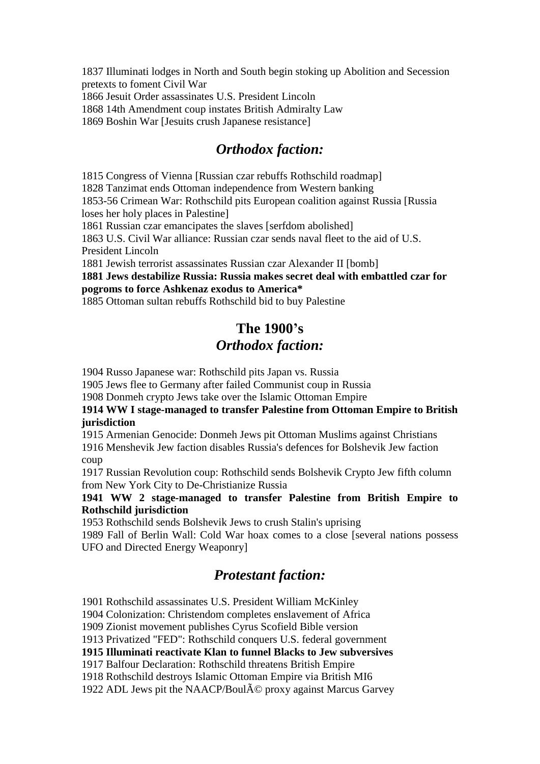1837 Illuminati lodges in North and South begin stoking up Abolition and Secession pretexts to foment Civil War

1866 Jesuit Order assassinates U.S. President Lincoln

1868 14th Amendment coup instates British Admiralty Law

1869 Boshin War [Jesuits crush Japanese resistance]

#### *Orthodox faction:*

1815 Congress of Vienna [Russian czar rebuffs Rothschild roadmap]

1828 Tanzimat ends Ottoman independence from Western banking

1853-56 Crimean War: Rothschild pits European coalition against Russia [Russia loses her holy places in Palestine]

1861 Russian czar emancipates the slaves [serfdom abolished]

1863 U.S. Civil War alliance: Russian czar sends naval fleet to the aid of U.S. President Lincoln

1881 Jewish terrorist assassinates Russian czar Alexander II [bomb]

**1881 Jews destabilize Russia: Russia makes secret deal with embattled czar for pogroms to force Ashkenaz exodus to America\***

1885 Ottoman sultan rebuffs Rothschild bid to buy Palestine

### **The 1900's** *Orthodox faction:*

1904 Russo Japanese war: Rothschild pits Japan vs. Russia

1905 Jews flee to Germany after failed Communist coup in Russia

1908 Donmeh crypto Jews take over the Islamic Ottoman Empire

**1914 WW I stage-managed to transfer Palestine from Ottoman Empire to British jurisdiction**

1915 Armenian Genocide: Donmeh Jews pit Ottoman Muslims against Christians 1916 Menshevik Jew faction disables Russia's defences for Bolshevik Jew faction coup

1917 Russian Revolution coup: Rothschild sends Bolshevik Crypto Jew fifth column from New York City to De-Christianize Russia

#### **1941 WW 2 stage-managed to transfer Palestine from British Empire to Rothschild jurisdiction**

1953 Rothschild sends Bolshevik Jews to crush Stalin's uprising

1989 Fall of Berlin Wall: Cold War hoax comes to a close [several nations possess UFO and Directed Energy Weaponry]

#### *Protestant faction:*

1901 Rothschild assassinates U.S. President William McKinley

1904 Colonization: Christendom completes enslavement of Africa

1909 Zionist movement publishes Cyrus Scofield Bible version

1913 Privatized "FED": Rothschild conquers U.S. federal government

**1915 Illuminati reactivate Klan to funnel Blacks to Jew subversives**

1917 Balfour Declaration: Rothschild threatens British Empire

1918 Rothschild destroys Islamic Ottoman Empire via British MI6

1922 ADL Jews pit the NAACP/Boul $\tilde{A}$ © proxy against Marcus Garvey